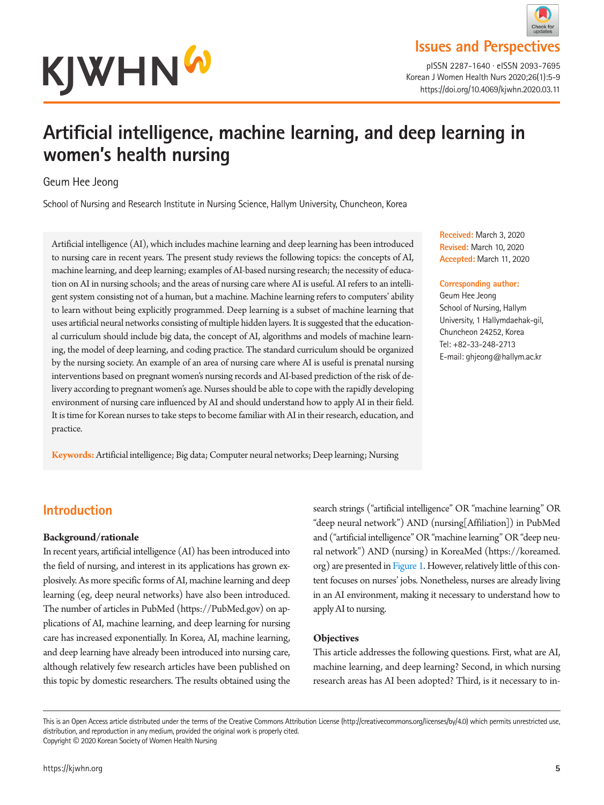

pISSN 2287-1640 · eISSN 2093-7695 Korean J Women Health Nurs 2020;26(1):5-9 https://doi.org/10.4069/kjwhn.2020.03.11

# **Artificial intelligence, machine learning, and deep learning in women's health nursing**

#### Geum Hee Jeong

School of Nursing and Research Institute in Nursing Science, Hallym University, Chuncheon, Korea

Artificial intelligence (AI), which includes machine learning and deep learning has been introduced to nursing care in recent years. The present study reviews the following topics: the concepts of AI, machine learning, and deep learning; examples of AI-based nursing research; the necessity of education on AI in nursing schools; and the areas of nursing care where AI is useful. AI refers to an intelligent system consisting not of a human, but a machine. Machine learning refers to computers' ability to learn without being explicitly programmed. Deep learning is a subset of machine learning that uses artificial neural networks consisting of multiple hidden layers. It is suggested that the educational curriculum should include big data, the concept of AI, algorithms and models of machine learning, the model of deep learning, and coding practice. The standard curriculum should be organized by the nursing society. An example of an area of nursing care where AI is useful is prenatal nursing interventions based on pregnant women's nursing records and AI-based prediction of the risk of delivery according to pregnant women's age. Nurses should be able to cope with the rapidly developing environment of nursing care influenced by AI and should understand how to apply AI in their field. It is time for Korean nurses to take steps to become familiar with AI in their research, education, and practice.

**Keywords:** Artificial intelligence; Big data; Computer neural networks; Deep learning; Nursing

**Received:** March 3, 2020 **Revised:** March 10, 2020 **Accepted:** March 11, 2020

#### **Corresponding author:**

Geum Hee Jeong School of Nursing, Hallym University, 1 Hallymdaehak-gil, Chuncheon 24252, Korea Tel: +82-33-248-2713 E-mail: ghjeong@hallym.ac.kr

# **Introduction**

#### **Background/rationale**

In recent years, artificial intelligence (AI) has been introduced into the field of nursing, and interest in its applications has grown explosively. As more specific forms of AI, machine learning and deep learning (eg, deep neural networks) have also been introduced. The number of articles in PubMed (https://PubMed.gov) on applications of AI, machine learning, and deep learning for nursing care has increased exponentially. In Korea, AI, machine learning, and deep learning have already been introduced into nursing care, although relatively few research articles have been published on this topic by domestic researchers. The results obtained using the

search strings ("artificial intelligence" OR "machine learning" OR "deep neural network") AND (nursing[Affiliation]) in PubMed and ("artificial intelligence" OR "machine learning" OR "deep neural network") AND (nursing) in KoreaMed (https://koreamed. org) are presented in [Figure 1.](#page-1-0) However, relatively little of this content focuses on nurses' jobs. Nonetheless, nurses are already living in an AI environment, making it necessary to understand how to apply AI to nursing.

#### **Objectives**

This article addresses the following questions. First, what are AI, machine learning, and deep learning? Second, in which nursing research areas has AI been adopted? Third, is it necessary to in-

This is an Open Access article distributed under the terms of the Creative Commons Attribution License (http://creativecommons.org/licenses/by/4.0) which permits unrestricted use, distribution, and reproduction in any medium, provided the original work is properly cited. Copyright © 2020 Korean Society of Women Health Nursing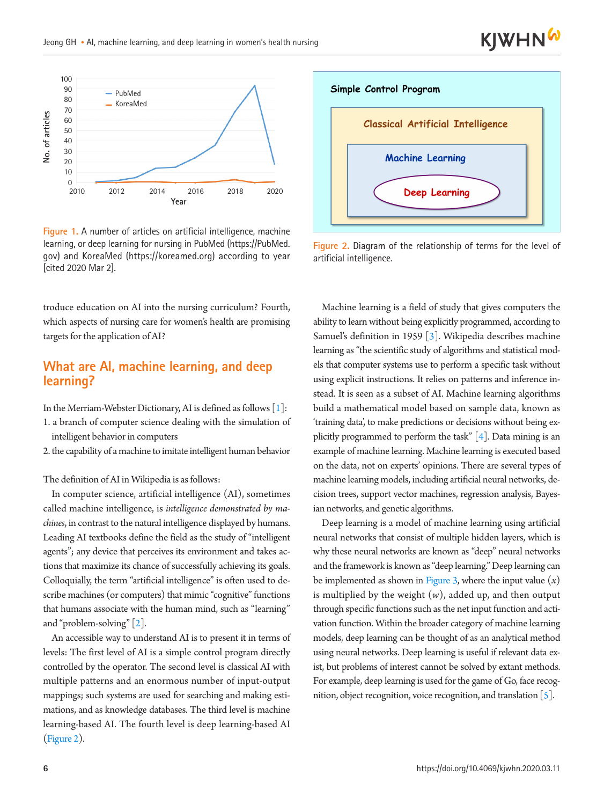<span id="page-1-0"></span>

**Figure 1.** A number of articles on artificial intelligence, machine learning, or deep learning for nursing in PubMed (https://PubMed. gov) and KoreaMed (https://koreamed.org) according to year [cited 2020 Mar 2].

troduce education on AI into the nursing curriculum? Fourth, which aspects of nursing care for women's health are promising targets for the application of AI?

#### **What are AI, machine learning, and deep learning?**

In the Merriam-Webster Dictionary, AI is defined as follows [\[1\]](#page--1-0):

- 1. a branch of computer science dealing with the simulation of intelligent behavior in computers
- 2. the capability of a machine to imitate intelligent human behavior

The definition of AI in Wikipedia is as follows:

In computer science, artificial intelligence (AI), sometimes called machine intelligence, is *intelligence demonstrated by machines*, in contrast to the natural intelligence displayed by humans. Leading AI textbooks define the field as the study of "intelligent agents"; any device that perceives its environment and takes actions that maximize its chance of successfully achieving its goals. Colloquially, the term "artificial intelligence" is often used to describe machines (or computers) that mimic "cognitive" functions that humans associate with the human mind, such as "learning" and "problem-solving" [\[2\]](#page--1-1).

An accessible way to understand AI is to present it in terms of levels: The first level of AI is a simple control program directly controlled by the operator. The second level is classical AI with multiple patterns and an enormous number of input-output mappings; such systems are used for searching and making estimations, and as knowledge databases. The third level is machine learning-based AI. The fourth level is deep learning-based AI [\(Figure 2](#page-1-1)).

<span id="page-1-1"></span>

**KJWHN** 

**Figure 2.** Diagram of the relationship of terms for the level of artificial intelligence.

Machine learning is a field of study that gives computers the ability to learn without being explicitly programmed, according to Samuel's definition in 1959 [\[3](#page--1-2)]. Wikipedia describes machine learning as "the scientific study of algorithms and statistical models that computer systems use to perform a specific task without using explicit instructions. It relies on patterns and inference instead. It is seen as a subset of AI. Machine learning algorithms build a mathematical model based on sample data, known as 'training data', to make predictions or decisions without being explicitly programmed to perform the task"  $[4]$ . Data mining is an example of machine learning. Machine learning is executed based on the data, not on experts' opinions. There are several types of machine learning models, including artificial neural networks, decision trees, support vector machines, regression analysis, Bayesian networks, and genetic algorithms.

Deep learning is a model of machine learning using artificial neural networks that consist of multiple hidden layers, which is why these neural networks are known as "deep" neural networks and the framework is known as "deep learning." Deep learning can be implemented as shown in [Figure 3](#page-2-0), where the input value  $(x)$ is multiplied by the weight  $(w)$ , added up, and then output through specific functions such as the net input function and activation function. Within the broader category of machine learning models, deep learning can be thought of as an analytical method using neural networks. Deep learning is useful if relevant data exist, but problems of interest cannot be solved by extant methods. For example, deep learning is used for the game of Go, face recognition, object recognition, voice recognition, and translation [\[5](#page--1-4)].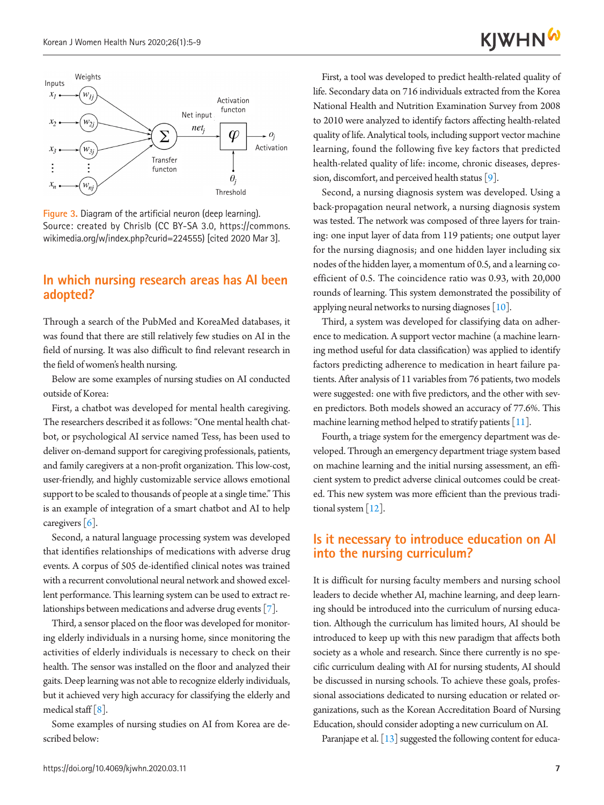<span id="page-2-0"></span>

**Figure 3.** Diagram of the artificial neuron (deep learning). Source: created by Chrislb (CC BY-SA 3.0, https://commons. wikimedia.org/w/index.php?curid=224555) [cited 2020 Mar 3].

#### **In which nursing research areas has AI been adopted?**

Through a search of the PubMed and KoreaMed databases, it was found that there are still relatively few studies on AI in the field of nursing. It was also difficult to find relevant research in the field of women's health nursing.

Below are some examples of nursing studies on AI conducted outside of Korea:

First, a chatbot was developed for mental health caregiving. The researchers described it as follows: "One mental health chatbot, or psychological AI service named Tess, has been used to deliver on-demand support for caregiving professionals, patients, and family caregivers at a non-profit organization. This low-cost, user-friendly, and highly customizable service allows emotional support to be scaled to thousands of people at a single time." This is an example of integration of a smart chatbot and AI to help caregivers  $\lceil 6 \rceil$ .

Second, a natural language processing system was developed that identifies relationships of medications with adverse drug events. A corpus of 505 de-identified clinical notes was trained with a recurrent convolutional neural network and showed excellent performance. This learning system can be used to extract relationships between medications and adverse drug events [\[7](#page-4-1)].

Third, a sensor placed on the floor was developed for monitoring elderly individuals in a nursing home, since monitoring the activities of elderly individuals is necessary to check on their health. The sensor was installed on the floor and analyzed their gaits. Deep learning was not able to recognize elderly individuals, but it achieved very high accuracy for classifying the elderly and medical staff  $\lceil 8 \rceil$  $\lceil 8 \rceil$  $\lceil 8 \rceil$ .

Some examples of nursing studies on AI from Korea are described below:

First, a tool was developed to predict health-related quality of life. Secondary data on 716 individuals extracted from the Korea National Health and Nutrition Examination Survey from 2008 to 2010 were analyzed to identify factors affecting health-related quality of life. Analytical tools, including support vector machine learning, found the following five key factors that predicted health-related quality of life: income, chronic diseases, depression, discomfort, and perceived health status [\[9](#page-4-3)].

Second, a nursing diagnosis system was developed. Using a back-propagation neural network, a nursing diagnosis system was tested. The network was composed of three layers for training: one input layer of data from 119 patients; one output layer for the nursing diagnosis; and one hidden layer including six nodes of the hidden layer, a momentum of 0.5, and a learning coefficient of 0.5. The coincidence ratio was 0.93, with 20,000 rounds of learning. This system demonstrated the possibility of applying neural networks to nursing diagnoses [\[10\]](#page-4-4).

Third, a system was developed for classifying data on adherence to medication. A support vector machine (a machine learning method useful for data classification) was applied to identify factors predicting adherence to medication in heart failure patients. After analysis of 11 variables from 76 patients, two models were suggested: one with five predictors, and the other with seven predictors. Both models showed an accuracy of 77.6%. This machine learning method helped to stratify patients [\[11](#page-4-5)].

Fourth, a triage system for the emergency department was developed. Through an emergency department triage system based on machine learning and the initial nursing assessment, an efficient system to predict adverse clinical outcomes could be created. This new system was more efficient than the previous traditional system [\[12\]](#page-4-6).

#### **Is it necessary to introduce education on AI into the nursing curriculum?**

It is difficult for nursing faculty members and nursing school leaders to decide whether AI, machine learning, and deep learning should be introduced into the curriculum of nursing education. Although the curriculum has limited hours, AI should be introduced to keep up with this new paradigm that affects both society as a whole and research. Since there currently is no specific curriculum dealing with AI for nursing students, AI should be discussed in nursing schools. To achieve these goals, professional associations dedicated to nursing education or related organizations, such as the Korean Accreditation Board of Nursing Education, should consider adopting a new curriculum on AI.

Paranjape et al. [\[13\]](#page-4-7) suggested the following content for educa-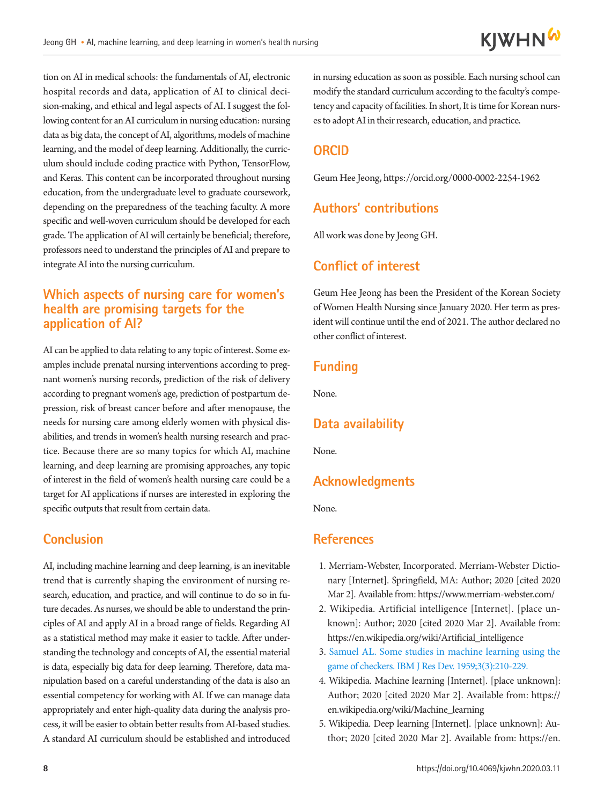tion on AI in medical schools: the fundamentals of AI, electronic hospital records and data, application of AI to clinical decision-making, and ethical and legal aspects of AI. I suggest the following content for an AI curriculum in nursing education: nursing data as big data, the concept of AI, algorithms, models of machine learning, and the model of deep learning. Additionally, the curriculum should include coding practice with Python, TensorFlow, and Keras. This content can be incorporated throughout nursing education, from the undergraduate level to graduate coursework, depending on the preparedness of the teaching faculty. A more specific and well-woven curriculum should be developed for each grade. The application of AI will certainly be beneficial; therefore, professors need to understand the principles of AI and prepare to integrate AI into the nursing curriculum.

## **Which aspects of nursing care for women's health are promising targets for the application of AI?**

AI can be applied to data relating to any topic of interest. Some examples include prenatal nursing interventions according to pregnant women's nursing records, prediction of the risk of delivery according to pregnant women's age, prediction of postpartum depression, risk of breast cancer before and after menopause, the needs for nursing care among elderly women with physical disabilities, and trends in women's health nursing research and practice. Because there are so many topics for which AI, machine learning, and deep learning are promising approaches, any topic of interest in the field of women's health nursing care could be a target for AI applications if nurses are interested in exploring the specific outputs that result from certain data.

## **Conclusion**

AI, including machine learning and deep learning, is an inevitable trend that is currently shaping the environment of nursing research, education, and practice, and will continue to do so in future decades. As nurses, we should be able to understand the principles of AI and apply AI in a broad range of fields. Regarding AI as a statistical method may make it easier to tackle. After understanding the technology and concepts of AI, the essential material is data, especially big data for deep learning. Therefore, data manipulation based on a careful understanding of the data is also an essential competency for working with AI. If we can manage data appropriately and enter high-quality data during the analysis process, it will be easier to obtain better results from AI-based studies. A standard AI curriculum should be established and introduced

in nursing education as soon as possible. Each nursing school can modify the standard curriculum according to the faculty's competency and capacity of facilities. In short, It is time for Korean nurses to adopt AI in their research, education, and practice.

## **ORCID**

Geum Hee Jeong, https://orcid.org/0000-0002-2254-1962

# **Authors' contributions**

All work was done by Jeong GH.

## **Conflict of interest**

Geum Hee Jeong has been the President of the Korean Society of Women Health Nursing since January 2020. Her term as president will continue until the end of 2021. The author declared no other conflict of interest.

## **Funding**

None.

# **Data availability**

None.

#### **Acknowledgments**

None.

#### **References**

- 1. Merriam-Webster, Incorporated. Merriam-Webster Dictionary [Internet]. Springfield, MA: Author; 2020 [cited 2020 Mar 2]. Available from: https:[//www.merriam-webster.com/](www.merriam-webster.com/.)
- 2. Wikipedia. Artificial intelligence [Internet]. [place unknown]: Author; 2020 [cited 2020 Mar 2]. Available from: https://en.wikipedia.org/wiki/Artificial\_intelligence
- 3. [Samuel AL. Some studies in machine learning using the](https://doi.org/10.1007/978-1-4613-8716-9_14)  [game of checkers. IBM J Res Dev. 1959;3\(3\):210-229.](https://doi.org/10.1007/978-1-4613-8716-9_14)
- 4. Wikipedia. Machine learning [Internet]. [place unknown]: Author; 2020 [cited 2020 Mar 2]. Available from: https:// en.wikipedia.org/wiki/Machine\_learning
- 5. Wikipedia. Deep learning [Internet]. [place unknown]: Author; 2020 [cited 2020 Mar 2]. Available from: [https://en.](https://en.wikipedia.org/wiki/Deep_learning)